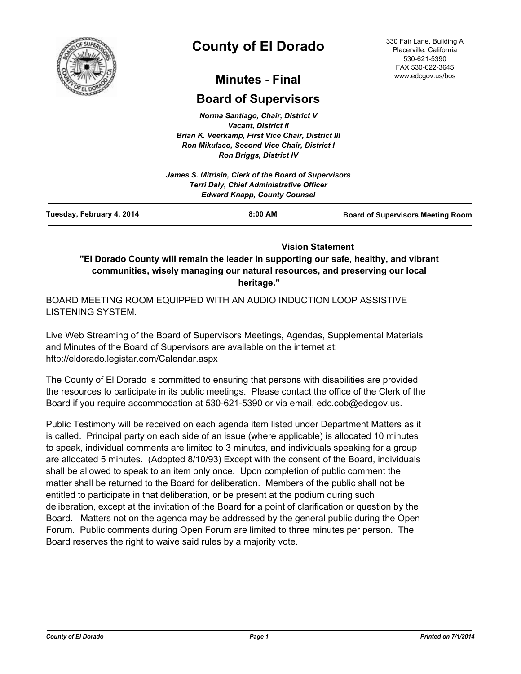

# **County of El Dorado**

330 Fair Lane, Building A Placerville, California 530-621-5390 FAX 530-622-3645 www.edcgov.us/bos

# **Minutes - Final**

# **Board of Supervisors**

*Norma Santiago, Chair, District V Vacant, District II Brian K. Veerkamp, First Vice Chair, District III Ron Mikulaco, Second Vice Chair, District I Ron Briggs, District IV*

|                           | James S. Mitrisin, Clerk of the Board of Supervisors<br>Terri Daly, Chief Administrative Officer<br><b>Edward Knapp, County Counsel</b> |                                          |
|---------------------------|-----------------------------------------------------------------------------------------------------------------------------------------|------------------------------------------|
| Tuesday, February 4, 2014 | $8:00$ AM                                                                                                                               | <b>Board of Supervisors Meeting Room</b> |

 **Vision Statement** 

**"El Dorado County will remain the leader in supporting our safe, healthy, and vibrant communities, wisely managing our natural resources, and preserving our local heritage."**

BOARD MEETING ROOM EQUIPPED WITH AN AUDIO INDUCTION LOOP ASSISTIVE LISTENING SYSTEM.

Live Web Streaming of the Board of Supervisors Meetings, Agendas, Supplemental Materials and Minutes of the Board of Supervisors are available on the internet at: http://eldorado.legistar.com/Calendar.aspx

The County of El Dorado is committed to ensuring that persons with disabilities are provided the resources to participate in its public meetings. Please contact the office of the Clerk of the Board if you require accommodation at 530-621-5390 or via email, edc.cob@edcgov.us.

Public Testimony will be received on each agenda item listed under Department Matters as it is called. Principal party on each side of an issue (where applicable) is allocated 10 minutes to speak, individual comments are limited to 3 minutes, and individuals speaking for a group are allocated 5 minutes. (Adopted 8/10/93) Except with the consent of the Board, individuals shall be allowed to speak to an item only once. Upon completion of public comment the matter shall be returned to the Board for deliberation. Members of the public shall not be entitled to participate in that deliberation, or be present at the podium during such deliberation, except at the invitation of the Board for a point of clarification or question by the Board. Matters not on the agenda may be addressed by the general public during the Open Forum. Public comments during Open Forum are limited to three minutes per person. The Board reserves the right to waive said rules by a majority vote.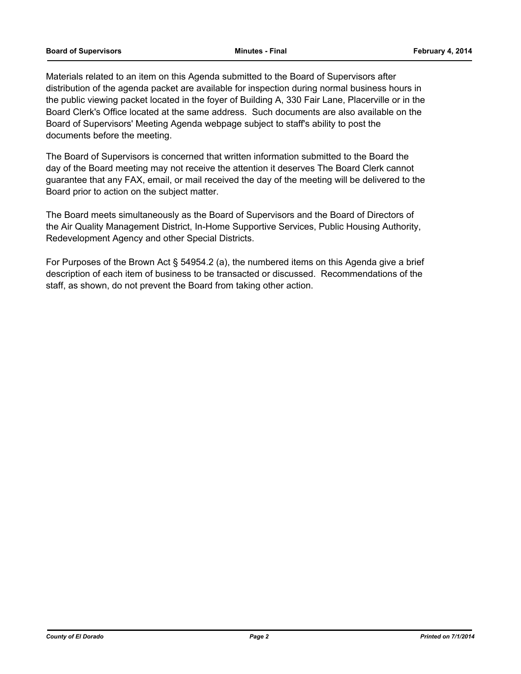#### **Board of Supervisors Minutes - Final February 4, 2014**

Materials related to an item on this Agenda submitted to the Board of Supervisors after distribution of the agenda packet are available for inspection during normal business hours in the public viewing packet located in the foyer of Building A, 330 Fair Lane, Placerville or in the Board Clerk's Office located at the same address. Such documents are also available on the Board of Supervisors' Meeting Agenda webpage subject to staff's ability to post the documents before the meeting.

The Board of Supervisors is concerned that written information submitted to the Board the day of the Board meeting may not receive the attention it deserves The Board Clerk cannot guarantee that any FAX, email, or mail received the day of the meeting will be delivered to the Board prior to action on the subject matter.

The Board meets simultaneously as the Board of Supervisors and the Board of Directors of the Air Quality Management District, In-Home Supportive Services, Public Housing Authority, Redevelopment Agency and other Special Districts.

For Purposes of the Brown Act § 54954.2 (a), the numbered items on this Agenda give a brief description of each item of business to be transacted or discussed. Recommendations of the staff, as shown, do not prevent the Board from taking other action.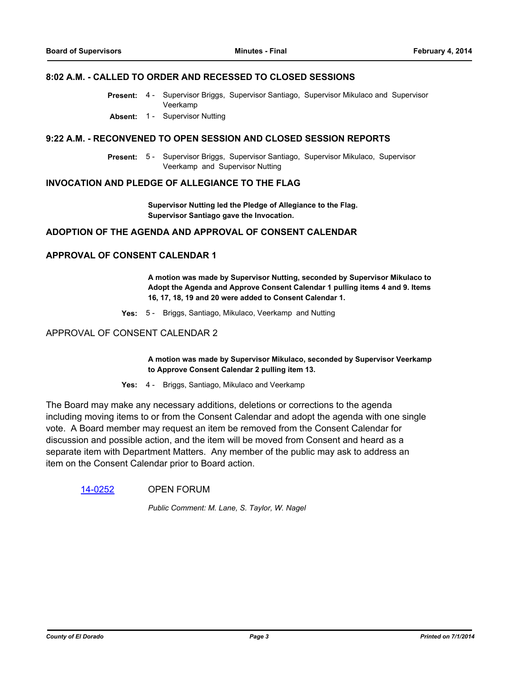#### **8:02 A.M. - CALLED TO ORDER AND RECESSED TO CLOSED SESSIONS**

- Supervisor Briggs, Supervisor Santiago, Supervisor Mikulaco and Supervisor Veerkamp **Present:** 4 -
- **Absent:** 1 Supervisor Nutting

#### **9:22 A.M. - RECONVENED TO OPEN SESSION AND CLOSED SESSION REPORTS**

Present: 5 - Supervisor Briggs, Supervisor Santiago, Supervisor Mikulaco, Supervisor Veerkamp and Supervisor Nutting

#### **INVOCATION AND PLEDGE OF ALLEGIANCE TO THE FLAG**

**Supervisor Nutting led the Pledge of Allegiance to the Flag. Supervisor Santiago gave the Invocation.**

#### **ADOPTION OF THE AGENDA AND APPROVAL OF CONSENT CALENDAR**

### **APPROVAL OF CONSENT CALENDAR 1**

**A motion was made by Supervisor Nutting, seconded by Supervisor Mikulaco to Adopt the Agenda and Approve Consent Calendar 1 pulling items 4 and 9. Items 16, 17, 18, 19 and 20 were added to Consent Calendar 1.**

**Yes:** 5 - Briggs, Santiago, Mikulaco, Veerkamp and Nutting

APPROVAL OF CONSENT CALENDAR 2

**A motion was made by Supervisor Mikulaco, seconded by Supervisor Veerkamp to Approve Consent Calendar 2 pulling item 13.**

**Yes:** 4 - Briggs, Santiago, Mikulaco and Veerkamp

The Board may make any necessary additions, deletions or corrections to the agenda including moving items to or from the Consent Calendar and adopt the agenda with one single vote. A Board member may request an item be removed from the Consent Calendar for discussion and possible action, and the item will be moved from Consent and heard as a separate item with Department Matters. Any member of the public may ask to address an item on the Consent Calendar prior to Board action.

#### [14-0252](http://eldorado.legistar.com/gateway.aspx?m=l&id=/matter.aspx?key=17735) OPEN FORUM

*Public Comment: M. Lane, S. Taylor, W. Nagel*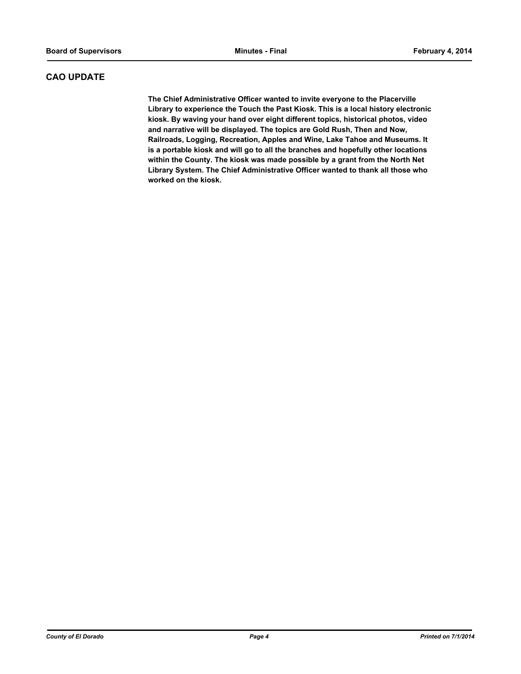# **CAO UPDATE**

**The Chief Administrative Officer wanted to invite everyone to the Placerville Library to experience the Touch the Past Kiosk. This is a local history electronic kiosk. By waving your hand over eight different topics, historical photos, video and narrative will be displayed. The topics are Gold Rush, Then and Now, Railroads, Logging, Recreation, Apples and Wine, Lake Tahoe and Museums. It is a portable kiosk and will go to all the branches and hopefully other locations within the County. The kiosk was made possible by a grant from the North Net Library System. The Chief Administrative Officer wanted to thank all those who worked on the kiosk.**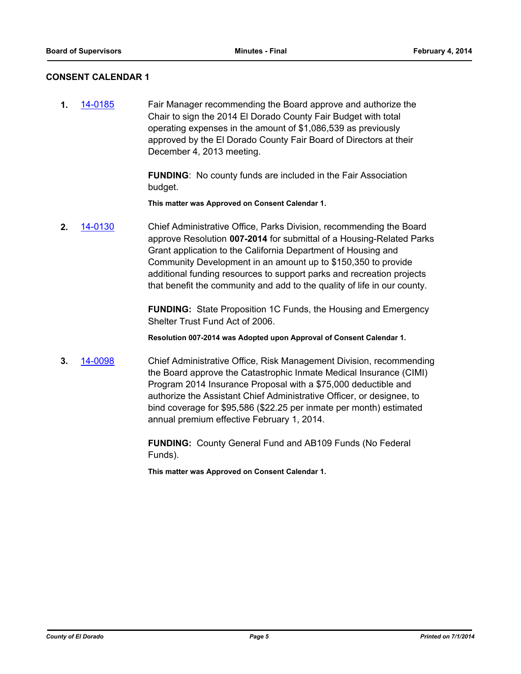#### **CONSENT CALENDAR 1**

**1.** [14-0185](http://eldorado.legistar.com/gateway.aspx?m=l&id=/matter.aspx?key=17670) Fair Manager recommending the Board approve and authorize the Chair to sign the 2014 El Dorado County Fair Budget with total operating expenses in the amount of \$1,086,539 as previously approved by the El Dorado County Fair Board of Directors at their December 4, 2013 meeting.

> **FUNDING**: No county funds are included in the Fair Association budget.

**This matter was Approved on Consent Calendar 1.**

**2.** [14-0130](http://eldorado.legistar.com/gateway.aspx?m=l&id=/matter.aspx?key=17613) Chief Administrative Office, Parks Division, recommending the Board approve Resolution **007-2014** for submittal of a Housing-Related Parks Grant application to the California Department of Housing and Community Development in an amount up to \$150,350 to provide additional funding resources to support parks and recreation projects that benefit the community and add to the quality of life in our county.

> **FUNDING:** State Proposition 1C Funds, the Housing and Emergency Shelter Trust Fund Act of 2006.

**Resolution 007-2014 was Adopted upon Approval of Consent Calendar 1.**

**3.** [14-0098](http://eldorado.legistar.com/gateway.aspx?m=l&id=/matter.aspx?key=17581) Chief Administrative Office, Risk Management Division, recommending the Board approve the Catastrophic Inmate Medical Insurance (CIMI) Program 2014 Insurance Proposal with a \$75,000 deductible and authorize the Assistant Chief Administrative Officer, or designee, to bind coverage for \$95,586 (\$22.25 per inmate per month) estimated annual premium effective February 1, 2014.

> **FUNDING:** County General Fund and AB109 Funds (No Federal Funds).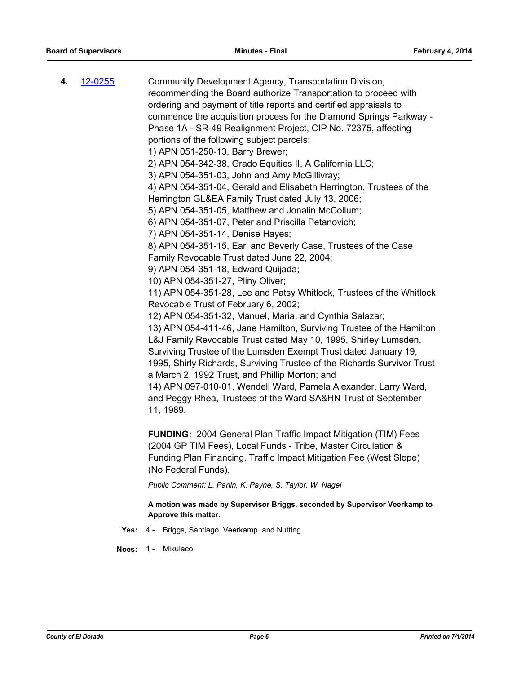| 4. | 12-0255 | Community Development Agency, Transportation Division,                  |
|----|---------|-------------------------------------------------------------------------|
|    |         | recommending the Board authorize Transportation to proceed with         |
|    |         | ordering and payment of title reports and certified appraisals to       |
|    |         | commence the acquisition process for the Diamond Springs Parkway -      |
|    |         | Phase 1A - SR-49 Realignment Project, CIP No. 72375, affecting          |
|    |         | portions of the following subject parcels:                              |
|    |         | 1) APN 051-250-13, Barry Brewer;                                        |
|    |         | 2) APN 054-342-38, Grado Equities II, A California LLC;                 |
|    |         | 3) APN 054-351-03, John and Amy McGillivray;                            |
|    |         | 4) APN 054-351-04, Gerald and Elisabeth Herrington, Trustees of the     |
|    |         | Herrington GL&EA Family Trust dated July 13, 2006;                      |
|    |         | 5) APN 054-351-05, Matthew and Jonalin McCollum;                        |
|    |         | 6) APN 054-351-07, Peter and Priscilla Petanovich;                      |
|    |         | 7) APN 054-351-14, Denise Hayes;                                        |
|    |         | 8) APN 054-351-15, Earl and Beverly Case, Trustees of the Case          |
|    |         | Family Revocable Trust dated June 22, 2004;                             |
|    |         | 9) APN 054-351-18, Edward Quijada;                                      |
|    |         | 10) APN 054-351-27, Pliny Oliver;                                       |
|    |         | 11) APN 054-351-28, Lee and Patsy Whitlock, Trustees of the Whitlock    |
|    |         | Revocable Trust of February 6, 2002;                                    |
|    |         | 12) APN 054-351-32, Manuel, Maria, and Cynthia Salazar;                 |
|    |         | 13) APN 054-411-46, Jane Hamilton, Surviving Trustee of the Hamilton    |
|    |         | L&J Family Revocable Trust dated May 10, 1995, Shirley Lumsden,         |
|    |         | Surviving Trustee of the Lumsden Exempt Trust dated January 19,         |
|    |         | 1995, Shirly Richards, Surviving Trustee of the Richards Survivor Trust |
|    |         | a March 2, 1992 Trust, and Phillip Morton; and                          |
|    |         | 14) APN 097-010-01, Wendell Ward, Pamela Alexander, Larry Ward,         |
|    |         | and Peggy Rhea, Trustees of the Ward SA&HN Trust of September           |
|    |         | 11, 1989.                                                               |
|    |         |                                                                         |
|    |         | <b>FUNDING:</b> 2004 General Plan Traffic Impact Mitigation (TIM) Fees  |

**FUNDING:** 2004 General Plan Traffic Impact Mitigation (TIM) Fees (2004 GP TIM Fees), Local Funds - Tribe, Master Circulation & Funding Plan Financing, Traffic Impact Mitigation Fee (West Slope) (No Federal Funds).

*Public Comment: L. Parlin, K. Payne, S. Taylor, W. Nagel*

**A motion was made by Supervisor Briggs, seconded by Supervisor Veerkamp to Approve this matter.**

**Yes:** 4 - Briggs, Santiago, Veerkamp and Nutting

**Noes:** 1 - Mikulaco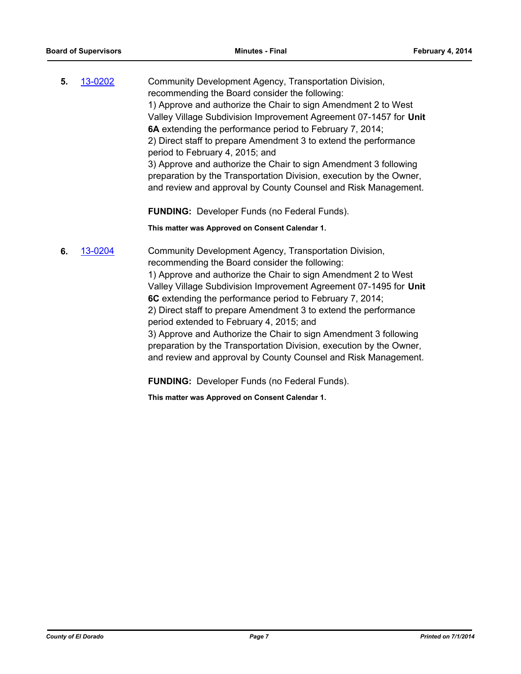**5.** [13-0202](http://eldorado.legistar.com/gateway.aspx?m=l&id=/matter.aspx?key=16090) Community Development Agency, Transportation Division, recommending the Board consider the following: 1) Approve and authorize the Chair to sign Amendment 2 to West Valley Village Subdivision Improvement Agreement 07-1457 for **Unit 6A** extending the performance period to February 7, 2014; 2) Direct staff to prepare Amendment 3 to extend the performance period to February 4, 2015; and 3) Approve and authorize the Chair to sign Amendment 3 following preparation by the Transportation Division, execution by the Owner, and review and approval by County Counsel and Risk Management.

**FUNDING:** Developer Funds (no Federal Funds).

**This matter was Approved on Consent Calendar 1.**

**6.** [13-0204](http://eldorado.legistar.com/gateway.aspx?m=l&id=/matter.aspx?key=16092) Community Development Agency, Transportation Division, recommending the Board consider the following: 1) Approve and authorize the Chair to sign Amendment 2 to West Valley Village Subdivision Improvement Agreement 07-1495 for **Unit 6C** extending the performance period to February 7, 2014; 2) Direct staff to prepare Amendment 3 to extend the performance period extended to February 4, 2015; and 3) Approve and Authorize the Chair to sign Amendment 3 following preparation by the Transportation Division, execution by the Owner, and review and approval by County Counsel and Risk Management.

**FUNDING:** Developer Funds (no Federal Funds).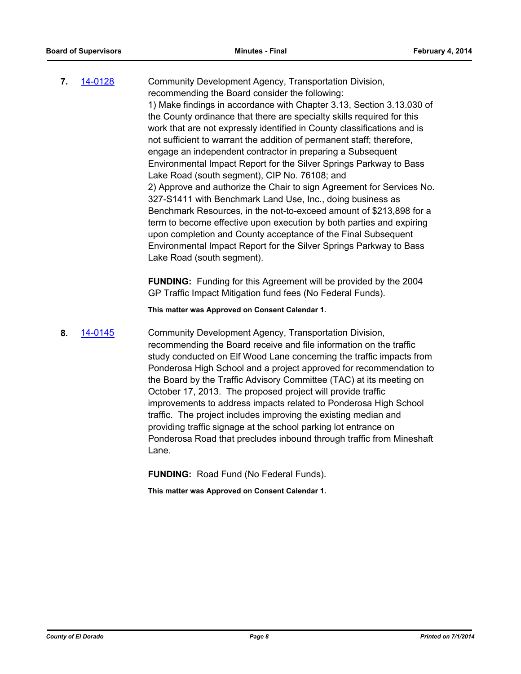**7.** [14-0128](http://eldorado.legistar.com/gateway.aspx?m=l&id=/matter.aspx?key=17611) Community Development Agency, Transportation Division, recommending the Board consider the following: 1) Make findings in accordance with Chapter 3.13, Section 3.13.030 of the County ordinance that there are specialty skills required for this work that are not expressly identified in County classifications and is not sufficient to warrant the addition of permanent staff; therefore, engage an independent contractor in preparing a Subsequent Environmental Impact Report for the Silver Springs Parkway to Bass Lake Road (south segment), CIP No. 76108; and 2) Approve and authorize the Chair to sign Agreement for Services No. 327-S1411 with Benchmark Land Use, Inc., doing business as Benchmark Resources, in the not-to-exceed amount of \$213,898 for a term to become effective upon execution by both parties and expiring upon completion and County acceptance of the Final Subsequent Environmental Impact Report for the Silver Springs Parkway to Bass Lake Road (south segment).

> **FUNDING:** Funding for this Agreement will be provided by the 2004 GP Traffic Impact Mitigation fund fees (No Federal Funds).

**This matter was Approved on Consent Calendar 1.**

**8.** [14-0145](http://eldorado.legistar.com/gateway.aspx?m=l&id=/matter.aspx?key=17628) Community Development Agency, Transportation Division, recommending the Board receive and file information on the traffic study conducted on Elf Wood Lane concerning the traffic impacts from Ponderosa High School and a project approved for recommendation to the Board by the Traffic Advisory Committee (TAC) at its meeting on October 17, 2013. The proposed project will provide traffic improvements to address impacts related to Ponderosa High School traffic. The project includes improving the existing median and providing traffic signage at the school parking lot entrance on Ponderosa Road that precludes inbound through traffic from Mineshaft Lane.

**FUNDING:** Road Fund (No Federal Funds).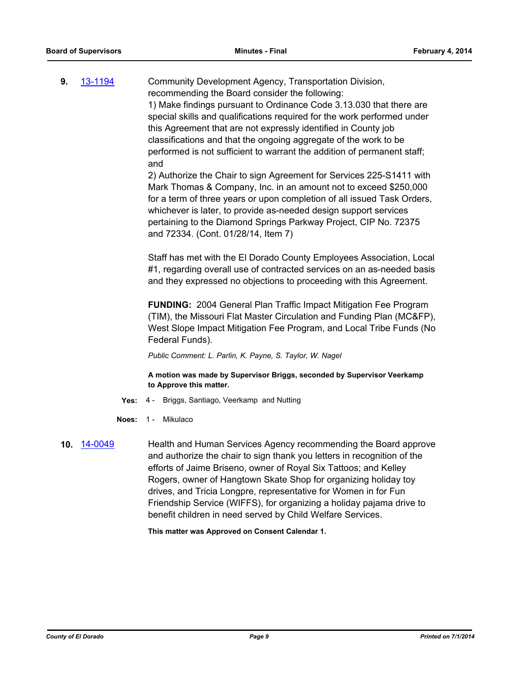**9.** [13-1194](http://eldorado.legistar.com/gateway.aspx?m=l&id=/matter.aspx?key=17090) Community Development Agency, Transportation Division, recommending the Board consider the following: 1) Make findings pursuant to Ordinance Code 3.13.030 that there are special skills and qualifications required for the work performed under this Agreement that are not expressly identified in County job classifications and that the ongoing aggregate of the work to be performed is not sufficient to warrant the addition of permanent staff; and 2) Authorize the Chair to sign Agreement for Services 225-S1411 with Mark Thomas & Company, Inc. in an amount not to exceed \$250,000

for a term of three years or upon completion of all issued Task Orders, whichever is later, to provide as-needed design support services pertaining to the Diamond Springs Parkway Project, CIP No. 72375 and 72334. (Cont. 01/28/14, Item 7)

Staff has met with the El Dorado County Employees Association, Local #1, regarding overall use of contracted services on an as-needed basis and they expressed no objections to proceeding with this Agreement.

**FUNDING:** 2004 General Plan Traffic Impact Mitigation Fee Program (TIM), the Missouri Flat Master Circulation and Funding Plan (MC&FP), West Slope Impact Mitigation Fee Program, and Local Tribe Funds (No Federal Funds).

*Public Comment: L. Parlin, K. Payne, S. Taylor, W. Nagel*

**A motion was made by Supervisor Briggs, seconded by Supervisor Veerkamp to Approve this matter.**

- **Yes:** 4 Briggs, Santiago, Veerkamp and Nutting
- **Noes:** 1 Mikulaco
- **10.** [14-0049](http://eldorado.legistar.com/gateway.aspx?m=l&id=/matter.aspx?key=17530) Health and Human Services Agency recommending the Board approve and authorize the chair to sign thank you letters in recognition of the efforts of Jaime Briseno, owner of Royal Six Tattoos; and Kelley Rogers, owner of Hangtown Skate Shop for organizing holiday toy drives, and Tricia Longpre, representative for Women in for Fun Friendship Service (WIFFS), for organizing a holiday pajama drive to benefit children in need served by Child Welfare Services.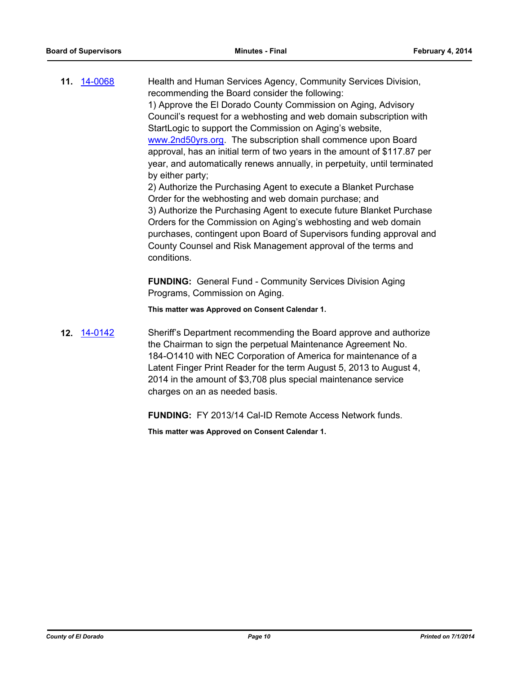**11.** [14-0068](http://eldorado.legistar.com/gateway.aspx?m=l&id=/matter.aspx?key=17549) Health and Human Services Agency, Community Services Division, recommending the Board consider the following: 1) Approve the El Dorado County Commission on Aging, Advisory Council's request for a webhosting and web domain subscription with StartLogic to support the Commission on Aging's website, www.2nd50yrs.org. The subscription shall commence upon Board approval, has an initial term of two years in the amount of \$117.87 per year, and automatically renews annually, in perpetuity, until terminated by either party; 2) Authorize the Purchasing Agent to execute a Blanket Purchase Order for the webhosting and web domain purchase; and

3) Authorize the Purchasing Agent to execute future Blanket Purchase Orders for the Commission on Aging's webhosting and web domain purchases, contingent upon Board of Supervisors funding approval and County Counsel and Risk Management approval of the terms and conditions.

**FUNDING:** General Fund - Community Services Division Aging Programs, Commission on Aging.

**This matter was Approved on Consent Calendar 1.**

**12.** [14-0142](http://eldorado.legistar.com/gateway.aspx?m=l&id=/matter.aspx?key=17625) Sheriff's Department recommending the Board approve and authorize the Chairman to sign the perpetual Maintenance Agreement No. 184-O1410 with NEC Corporation of America for maintenance of a Latent Finger Print Reader for the term August 5, 2013 to August 4, 2014 in the amount of \$3,708 plus special maintenance service charges on an as needed basis.

**FUNDING:** FY 2013/14 Cal-ID Remote Access Network funds.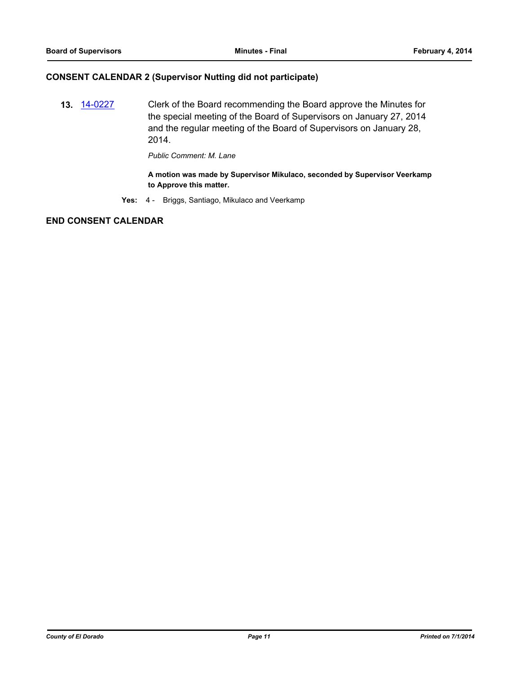#### **CONSENT CALENDAR 2 (Supervisor Nutting did not participate)**

**13.** [14-0227](http://eldorado.legistar.com/gateway.aspx?m=l&id=/matter.aspx?key=17712) Clerk of the Board recommending the Board approve the Minutes for the special meeting of the Board of Supervisors on January 27, 2014 and the regular meeting of the Board of Supervisors on January 28, 2014.

*Public Comment: M. Lane*

**A motion was made by Supervisor Mikulaco, seconded by Supervisor Veerkamp to Approve this matter.**

**Yes:** 4 - Briggs, Santiago, Mikulaco and Veerkamp

**END CONSENT CALENDAR**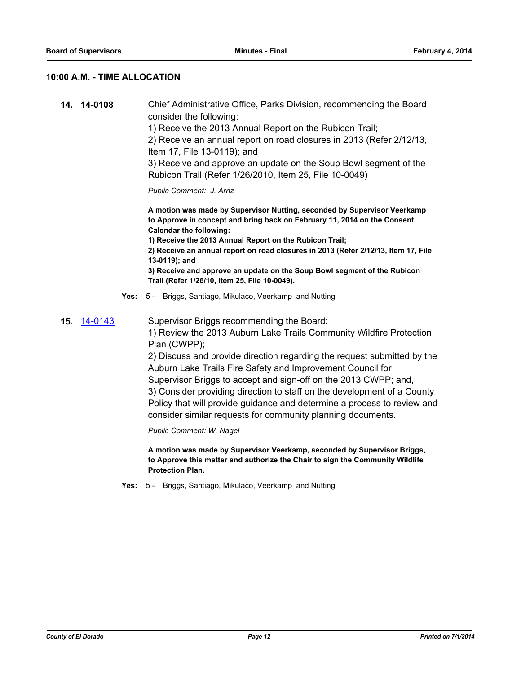#### **10:00 A.M. - TIME ALLOCATION**

**14. 14-0108** Chief Administrative Office, Parks Division, recommending the Board consider the following: 1) Receive the 2013 Annual Report on the Rubicon Trail; 2) Receive an annual report on road closures in 2013 (Refer 2/12/13, Item 17, File 13-0119); and

3) Receive and approve an update on the Soup Bowl segment of the Rubicon Trail (Refer 1/26/2010, Item 25, File 10-0049)

*Public Comment: J. Arnz*

**A motion was made by Supervisor Nutting, seconded by Supervisor Veerkamp to Approve in concept and bring back on February 11, 2014 on the Consent Calendar the following:**

**1) Receive the 2013 Annual Report on the Rubicon Trail;**

**2) Receive an annual report on road closures in 2013 (Refer 2/12/13, Item 17, File 13-0119); and**

**3) Receive and approve an update on the Soup Bowl segment of the Rubicon Trail (Refer 1/26/10, Item 25, File 10-0049).**

- **Yes:** 5 Briggs, Santiago, Mikulaco, Veerkamp and Nutting
- **15.** [14-0143](http://eldorado.legistar.com/gateway.aspx?m=l&id=/matter.aspx?key=17626) Supervisor Briggs recommending the Board:

1) Review the 2013 Auburn Lake Trails Community Wildfire Protection Plan (CWPP);

2) Discuss and provide direction regarding the request submitted by the Auburn Lake Trails Fire Safety and Improvement Council for Supervisor Briggs to accept and sign-off on the 2013 CWPP; and, 3) Consider providing direction to staff on the development of a County Policy that will provide guidance and determine a process to review and consider similar requests for community planning documents.

*Public Comment: W. Nagel*

**A motion was made by Supervisor Veerkamp, seconded by Supervisor Briggs, to Approve this matter and authorize the Chair to sign the Community Wildlife Protection Plan.**

**Yes:** 5 - Briggs, Santiago, Mikulaco, Veerkamp and Nutting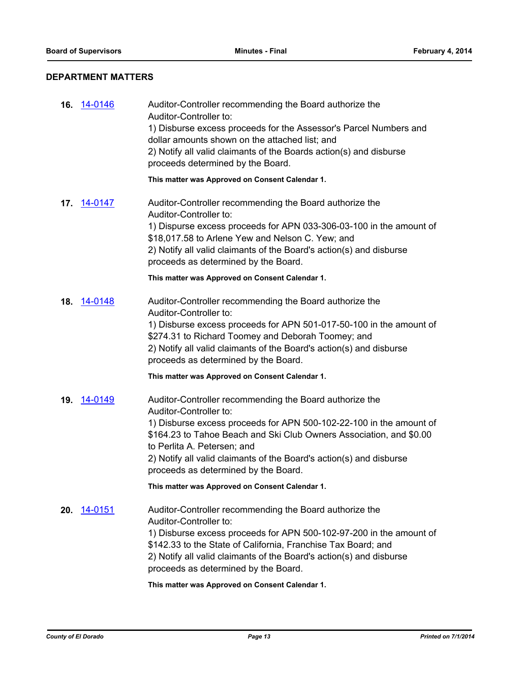# **DEPARTMENT MATTERS**

| 16. 14-0146        | Auditor-Controller recommending the Board authorize the<br>Auditor-Controller to:<br>1) Disburse excess proceeds for the Assessor's Parcel Numbers and<br>dollar amounts shown on the attached list; and<br>2) Notify all valid claimants of the Boards action(s) and disburse<br>proceeds determined by the Board.                      |
|--------------------|------------------------------------------------------------------------------------------------------------------------------------------------------------------------------------------------------------------------------------------------------------------------------------------------------------------------------------------|
|                    | This matter was Approved on Consent Calendar 1.                                                                                                                                                                                                                                                                                          |
| <b>17.</b> 14-0147 | Auditor-Controller recommending the Board authorize the<br>Auditor-Controller to:<br>1) Dispurse excess proceeds for APN 033-306-03-100 in the amount of<br>\$18,017.58 to Arlene Yew and Nelson C. Yew; and<br>2) Notify all valid claimants of the Board's action(s) and disburse<br>proceeds as determined by the Board.              |
|                    | This matter was Approved on Consent Calendar 1.                                                                                                                                                                                                                                                                                          |
| 18. 14-0148        | Auditor-Controller recommending the Board authorize the<br>Auditor-Controller to:<br>1) Disburse excess proceeds for APN 501-017-50-100 in the amount of<br>\$274.31 to Richard Toomey and Deborah Toomey; and<br>2) Notify all valid claimants of the Board's action(s) and disburse                                                    |
|                    | proceeds as determined by the Board.                                                                                                                                                                                                                                                                                                     |
|                    | This matter was Approved on Consent Calendar 1.                                                                                                                                                                                                                                                                                          |
| <b>19.</b> 14-0149 | Auditor-Controller recommending the Board authorize the<br>Auditor-Controller to:<br>1) Disburse excess proceeds for APN 500-102-22-100 in the amount of<br>\$164.23 to Tahoe Beach and Ski Club Owners Association, and \$0.00<br>to Perlita A. Petersen; and<br>2) Notify all valid claimants of the Board's action(s) and disburse    |
|                    | proceeds as determined by the Board.                                                                                                                                                                                                                                                                                                     |
|                    | This matter was Approved on Consent Calendar 1.                                                                                                                                                                                                                                                                                          |
| 20. <u>14-0151</u> | Auditor-Controller recommending the Board authorize the<br>Auditor-Controller to:<br>1) Disburse excess proceeds for APN 500-102-97-200 in the amount of<br>\$142.33 to the State of California, Franchise Tax Board; and<br>2) Notify all valid claimants of the Board's action(s) and disburse<br>proceeds as determined by the Board. |
|                    | This matter was Approved on Consent Calendar 1.                                                                                                                                                                                                                                                                                          |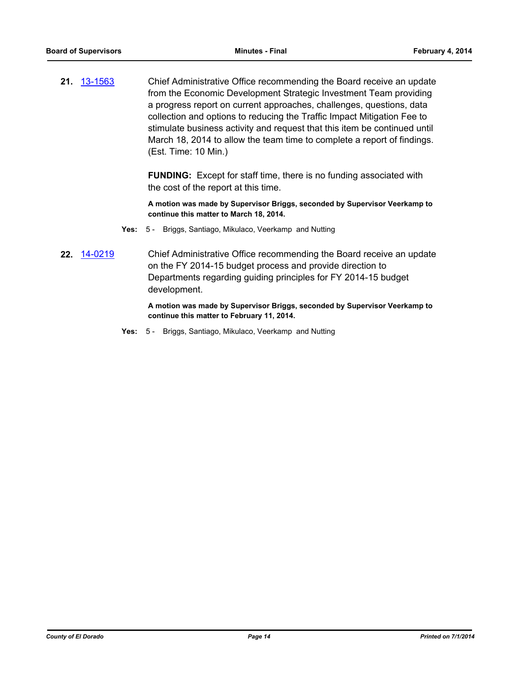**21.** [13-1563](http://eldorado.legistar.com/gateway.aspx?m=l&id=/matter.aspx?key=17462) Chief Administrative Office recommending the Board receive an update from the Economic Development Strategic Investment Team providing a progress report on current approaches, challenges, questions, data collection and options to reducing the Traffic Impact Mitigation Fee to stimulate business activity and request that this item be continued until March 18, 2014 to allow the team time to complete a report of findings. (Est. Time: 10 Min.)

> **FUNDING:** Except for staff time, there is no funding associated with the cost of the report at this time.

**A motion was made by Supervisor Briggs, seconded by Supervisor Veerkamp to continue this matter to March 18, 2014.**

- **Yes:** 5 Briggs, Santiago, Mikulaco, Veerkamp and Nutting
- **22.** [14-0219](http://eldorado.legistar.com/gateway.aspx?m=l&id=/matter.aspx?key=17704) Chief Administrative Office recommending the Board receive an update on the FY 2014-15 budget process and provide direction to Departments regarding guiding principles for FY 2014-15 budget development.

**A motion was made by Supervisor Briggs, seconded by Supervisor Veerkamp to continue this matter to February 11, 2014.**

**Yes:** 5 - Briggs, Santiago, Mikulaco, Veerkamp and Nutting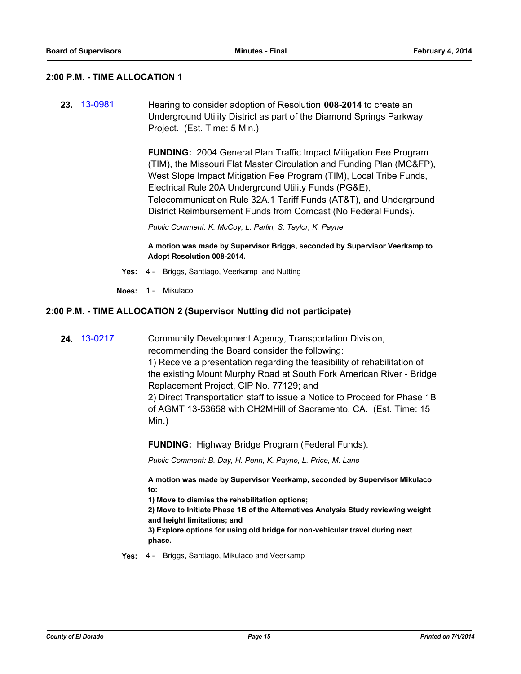#### **2:00 P.M. - TIME ALLOCATION 1**

**23.** [13-0981](http://eldorado.legistar.com/gateway.aspx?m=l&id=/matter.aspx?key=16875) Hearing to consider adoption of Resolution **008-2014** to create an Underground Utility District as part of the Diamond Springs Parkway Project. (Est. Time: 5 Min.)

> **FUNDING:** 2004 General Plan Traffic Impact Mitigation Fee Program (TIM), the Missouri Flat Master Circulation and Funding Plan (MC&FP), West Slope Impact Mitigation Fee Program (TIM), Local Tribe Funds, Electrical Rule 20A Underground Utility Funds (PG&E), Telecommunication Rule 32A.1 Tariff Funds (AT&T), and Underground District Reimbursement Funds from Comcast (No Federal Funds).

*Public Comment: K. McCoy, L. Parlin, S. Taylor, K. Payne*

**A motion was made by Supervisor Briggs, seconded by Supervisor Veerkamp to Adopt Resolution 008-2014.**

- **Yes:** 4 Briggs, Santiago, Veerkamp and Nutting
- **Noes:** 1 Mikulaco

#### **2:00 P.M. - TIME ALLOCATION 2 (Supervisor Nutting did not participate)**

**24.** [13-0217](http://eldorado.legistar.com/gateway.aspx?m=l&id=/matter.aspx?key=16105) Community Development Agency, Transportation Division,

recommending the Board consider the following: 1) Receive a presentation regarding the feasibility of rehabilitation of the existing Mount Murphy Road at South Fork American River - Bridge Replacement Project, CIP No. 77129; and

2) Direct Transportation staff to issue a Notice to Proceed for Phase 1B of AGMT 13-53658 with CH2MHill of Sacramento, CA. (Est. Time: 15 Min.)

**FUNDING:** Highway Bridge Program (Federal Funds).

*Public Comment: B. Day, H. Penn, K. Payne, L. Price, M. Lane*

**A motion was made by Supervisor Veerkamp, seconded by Supervisor Mikulaco to:**

**1) Move to dismiss the rehabilitation options;**

**2) Move to Initiate Phase 1B of the Alternatives Analysis Study reviewing weight and height limitations; and** 

**3) Explore options for using old bridge for non-vehicular travel during next phase.**

**Yes:** 4 - Briggs, Santiago, Mikulaco and Veerkamp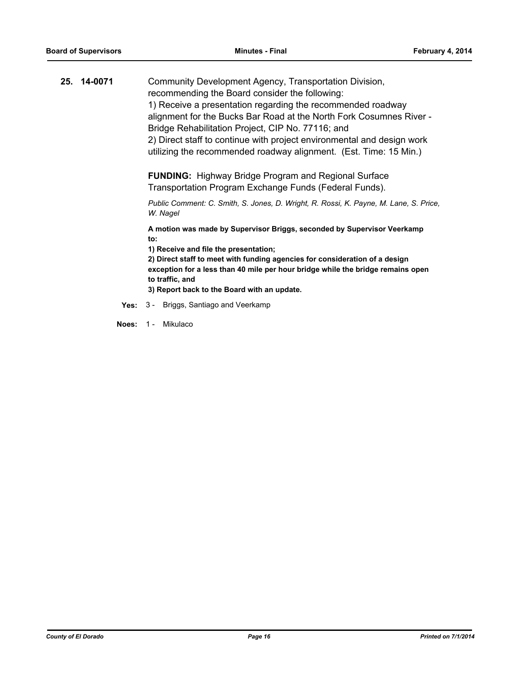**25. 14-0071** Community Development Agency, Transportation Division, recommending the Board consider the following: 1) Receive a presentation regarding the recommended roadway alignment for the Bucks Bar Road at the North Fork Cosumnes River - Bridge Rehabilitation Project, CIP No. 77116; and 2) Direct staff to continue with project environmental and design work utilizing the recommended roadway alignment. (Est. Time: 15 Min.)

> **FUNDING:** Highway Bridge Program and Regional Surface Transportation Program Exchange Funds (Federal Funds).

*Public Comment: C. Smith, S. Jones, D. Wright, R. Rossi, K. Payne, M. Lane, S. Price, W. Nagel*

**A motion was made by Supervisor Briggs, seconded by Supervisor Veerkamp to:**

**1) Receive and file the presentation;**

**2) Direct staff to meet with funding agencies for consideration of a design exception for a less than 40 mile per hour bridge while the bridge remains open to traffic, and**

**3) Report back to the Board with an update.**

**Yes:** 3 - Briggs, Santiago and Veerkamp

**Noes:** 1 - Mikulaco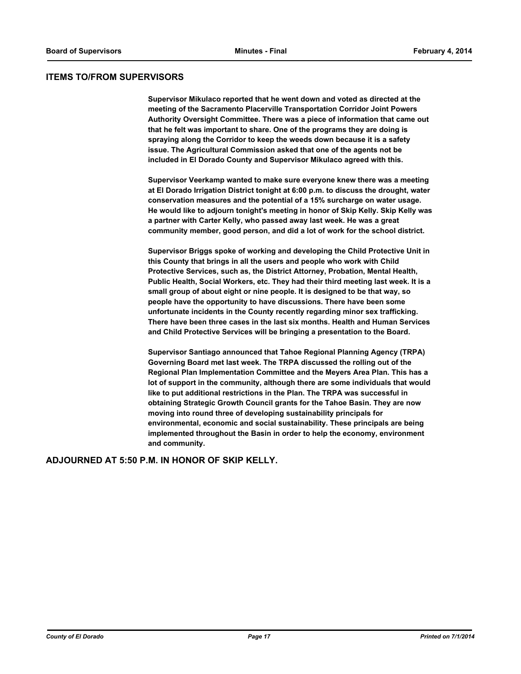#### **ITEMS TO/FROM SUPERVISORS**

**Supervisor Mikulaco reported that he went down and voted as directed at the meeting of the Sacramento Placerville Transportation Corridor Joint Powers Authority Oversight Committee. There was a piece of information that came out that he felt was important to share. One of the programs they are doing is spraying along the Corridor to keep the weeds down because it is a safety issue. The Agricultural Commission asked that one of the agents not be included in El Dorado County and Supervisor Mikulaco agreed with this.** 

**Supervisor Veerkamp wanted to make sure everyone knew there was a meeting at El Dorado Irrigation District tonight at 6:00 p.m. to discuss the drought, water conservation measures and the potential of a 15% surcharge on water usage. He would like to adjourn tonight's meeting in honor of Skip Kelly. Skip Kelly was a partner with Carter Kelly, who passed away last week. He was a great community member, good person, and did a lot of work for the school district.** 

**Supervisor Briggs spoke of working and developing the Child Protective Unit in this County that brings in all the users and people who work with Child Protective Services, such as, the District Attorney, Probation, Mental Health, Public Health, Social Workers, etc. They had their third meeting last week. It is a small group of about eight or nine people. It is designed to be that way, so people have the opportunity to have discussions. There have been some unfortunate incidents in the County recently regarding minor sex trafficking. There have been three cases in the last six months. Health and Human Services and Child Protective Services will be bringing a presentation to the Board.** 

**Supervisor Santiago announced that Tahoe Regional Planning Agency (TRPA) Governing Board met last week. The TRPA discussed the rolling out of the Regional Plan Implementation Committee and the Meyers Area Plan. This has a lot of support in the community, although there are some individuals that would like to put additional restrictions in the Plan. The TRPA was successful in obtaining Strategic Growth Council grants for the Tahoe Basin. They are now moving into round three of developing sustainability principals for environmental, economic and social sustainability. These principals are being implemented throughout the Basin in order to help the economy, environment and community.**

#### **ADJOURNED AT 5:50 P.M. IN HONOR OF SKIP KELLY.**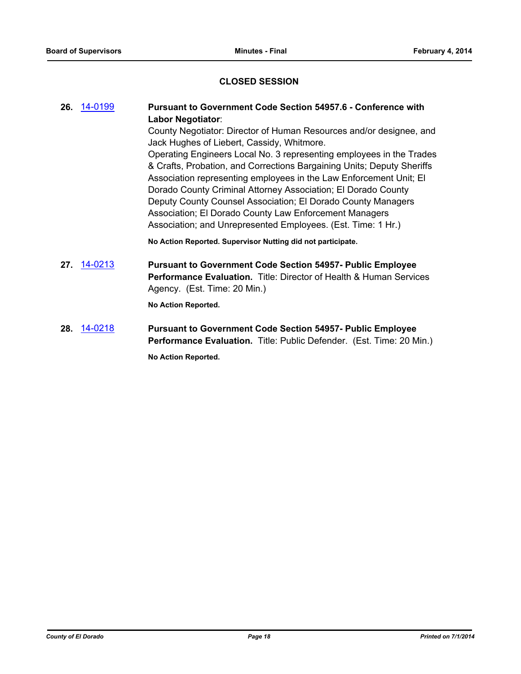### **CLOSED SESSION**

# **26.** [14-0199](http://eldorado.legistar.com/gateway.aspx?m=l&id=/matter.aspx?key=17684) **Pursuant to Government Code Section 54957.6 - Conference with Labor Negotiator**: County Negotiator: Director of Human Resources and/or designee, and Jack Hughes of Liebert, Cassidy, Whitmore. Operating Engineers Local No. 3 representing employees in the Trades & Crafts, Probation, and Corrections Bargaining Units; Deputy Sheriffs Association representing employees in the Law Enforcement Unit; El Dorado County Criminal Attorney Association; El Dorado County Deputy County Counsel Association; El Dorado County Managers Association; El Dorado County Law Enforcement Managers Association; and Unrepresented Employees. (Est. Time: 1 Hr.) **No Action Reported. Supervisor Nutting did not participate. 27.** [14-0213](http://eldorado.legistar.com/gateway.aspx?m=l&id=/matter.aspx?key=17698) **Pursuant to Government Code Section 54957- Public Employee Performance Evaluation.** Title: Director of Health & Human Services Agency. (Est. Time: 20 Min.) **No Action Reported. 28.** [14-0218](http://eldorado.legistar.com/gateway.aspx?m=l&id=/matter.aspx?key=17703) **Pursuant to Government Code Section 54957- Public Employee**

**Performance Evaluation.** Title: Public Defender. (Est. Time: 20 Min.) **No Action Reported.**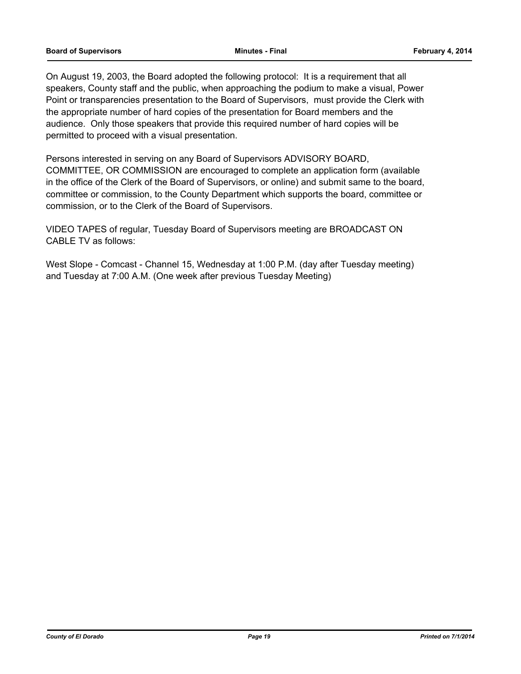On August 19, 2003, the Board adopted the following protocol: It is a requirement that all speakers, County staff and the public, when approaching the podium to make a visual, Power Point or transparencies presentation to the Board of Supervisors, must provide the Clerk with the appropriate number of hard copies of the presentation for Board members and the audience. Only those speakers that provide this required number of hard copies will be permitted to proceed with a visual presentation.

Persons interested in serving on any Board of Supervisors ADVISORY BOARD, COMMITTEE, OR COMMISSION are encouraged to complete an application form (available in the office of the Clerk of the Board of Supervisors, or online) and submit same to the board, committee or commission, to the County Department which supports the board, committee or commission, or to the Clerk of the Board of Supervisors.

VIDEO TAPES of regular, Tuesday Board of Supervisors meeting are BROADCAST ON CABLE TV as follows:

West Slope - Comcast - Channel 15, Wednesday at 1:00 P.M. (day after Tuesday meeting) and Tuesday at 7:00 A.M. (One week after previous Tuesday Meeting)